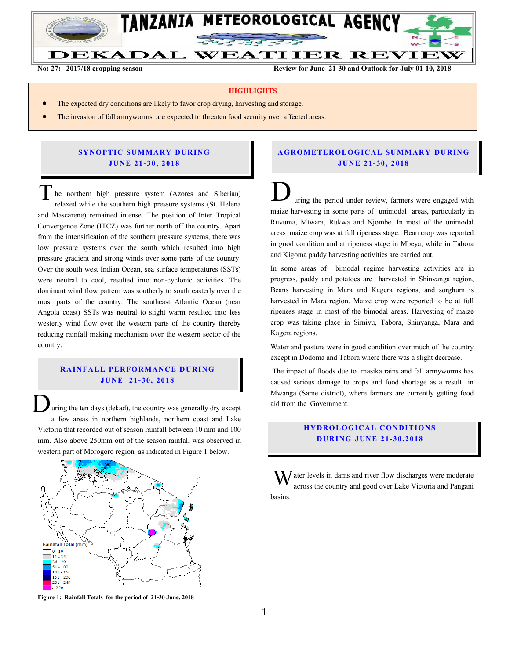

**No. 27: 2017/2018 Cropping season Review for June 21-30 and Outlook for July 01-10, 2018**

**No: 27: 2017/18 cropping season Review for June 21-30 and Outlook for July 01-10, 2018**

**WEATHER REVIEW** 

#### **HIGHLIGHTS**

- The expected dry conditions are likely to favor crop drying, harvesting and storage.
- The invasion of fall armyworms are expected to threaten food security over affected areas.

# **SYNOPTIC SUMMARY DURING JU N E 21- 30, 201 8**

he northern high pressure system (Azores and Siberian) relaxed while the southern high pressure systems (St. Helena and Mascarene) remained intense. The position of Inter Tropical Convergence Zone (ITCZ) was further north off the country. Apart from the intensification of the southern pressure systems, there was low pressure systems over the south which resulted into high pressure gradient and strong winds over some parts of the country. Over the south west Indian Ocean, sea surface temperatures (SSTs) were neutral to cool, resulted into non-cyclonic activities. The dominant wind flow pattern was southerly to south easterly over the most parts of the country. The southeast Atlantic Ocean (near Angola coast) SSTs was neutral to slight warm resulted into less westerly wind flow over the western parts of the country thereby reducing rainfall making mechanism over the western sector of the country. The northern high pressure system (Azores and Siberian)<br>relaxed while the southern high pressure systems (St. Helena

# **RAINFALL PERFORMANCE DURING JU N E 2 1- 30, 2018**

uring the ten days (dekad), the country was generally dry except a few areas in northern highlands, northern coast and Lake Victoria that recorded out of season rainfall between 10 mm and 100 mm. Also above 250mm out of the season rainfall was observed in western part of Morogoro region as indicated in Figure 1 below.  $\overline{\mathsf{D}}$ 



**Figure 1: Rainfall Totals for the period of 21-30 June, 2018**

### **A G RO METER O LO G IC AL SU MMAR Y DU R IN G JU N E 2 1- 30, 2018**

uring the period under review, farmers were engaged with maize harvesting in some parts of unimodal areas, particularly in Ruvuma, Mtwara, Rukwa and Njombe. In most of the unimodal areas maize crop was at full ripeness stage. Bean crop was reported in good condition and at ripeness stage in Mbeya, while in Tabora and Kigoma paddy harvesting activities are carried out.

In some areas of bimodal regime harvesting activities are in progress, paddy and potatoes are harvested in Shinyanga region, Beans harvesting in Mara and Kagera regions, and sorghum is harvested in Mara region. Maize crop were reported to be at full ripeness stage in most of the bimodal areas. Harvesting of maize crop was taking place in Simiyu, Tabora, Shinyanga, Mara and Kagera regions.

Water and pasture were in good condition over much of the country except in Dodoma and Tabora where there was a slight decrease.

The impact of floods due to masika rains and fall armyworms has caused serious damage to crops and food shortage as a result in Mwanga (Same district), where farmers are currently getting food aid from the Government.

### **HYDROLOGICAL CONDITIONS D UR ING JUN E 21- 30 , 2018**

 $\int$  ater levels in dams and river flow discharges were moderate across the country and good over Lake Victoria and Pangani basins. W